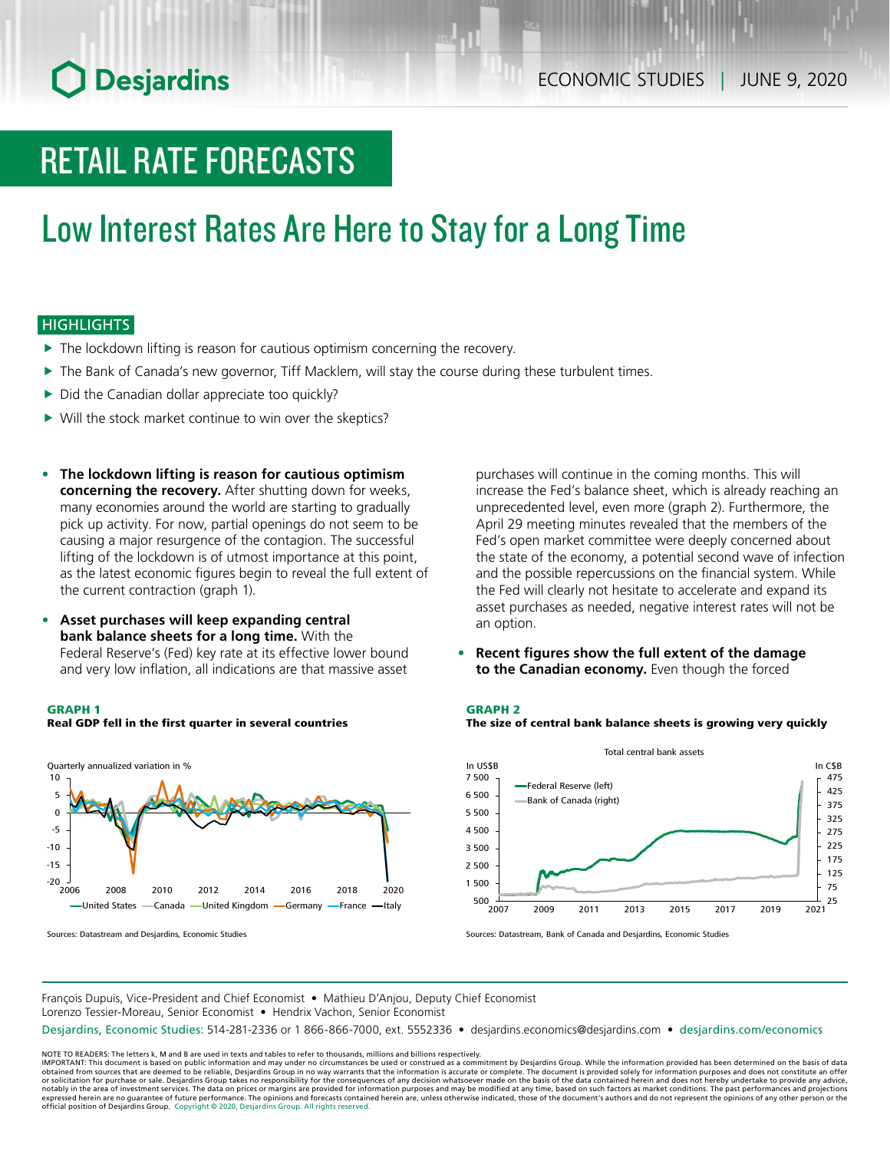# **O** Desjardins

# RETAIL RATE FORECASTS

# Low Interest Rates Are Here to Stay for a Long Time

### **HIGHLIGHTS**

- $\blacktriangleright$  The lockdown lifting is reason for cautious optimism concerning the recovery.
- $\blacktriangleright$  The Bank of Canada's new governor, Tiff Macklem, will stay the course during these turbulent times.
- $\triangleright$  Did the Canadian dollar appreciate too quickly?
- $\triangleright$  Will the stock market continue to win over the skeptics?
- **• The lockdown lifting is reason for cautious optimism concerning the recovery.** After shutting down for weeks, many economies around the world are starting to gradually pick up activity. For now, partial openings do not seem to be causing a major resurgence of the contagion. The successful lifting of the lockdown is of utmost importance at this point, as the latest economic figures begin to reveal the full extent of the current contraction (graph 1).
- **• Asset purchases will keep expanding central bank balance sheets for a long time.** With the Federal Reserve's (Fed) key rate at its effective lower bound and very low inflation, all indications are that massive asset

#### GRAPH 1

#### Real GDP fell in the first quarter in several countries



Sources: Datastream and Desjardins, Economic Studies

purchases will continue in the coming months. This will increase the Fed's balance sheet, which is already reaching an unprecedented level, even more (graph 2). Furthermore, the April 29 meeting minutes revealed that the members of the Fed's open market committee were deeply concerned about the state of the economy, a potential second wave of infection and the possible repercussions on the financial system. While the Fed will clearly not hesitate to accelerate and expand its asset purchases as needed, negative interest rates will not be an option.

**• Recent figures show the full extent of the damage to the Canadian economy.** Even though the forced

#### GRAPH 2





Sources: Datastream, Bank of Canada and Desjardins, Economic Studies

François Dupuis, Vice-President and Chief Economist • Mathieu D'Anjou, Deputy Chief Economist Lorenzo Tessier-Moreau, Senior Economist • Hendrix Vachon, Senior Economist

Desjardins, Economic Studies: 514-281-2336 or 1 866-866-7000, ext. 5552336 • desjardins.economics@desjardins.com • [desjardins.com/economics](http://desjardins.com/economics)

NOTE TO READERS: The letters k, M and B are used in texts and tables to refer to thousands, millions and billions respectively.<br>IMPORTANT: This document is based on public information and may under no circumstances be used obtained from sources that are deemed to be reliable, Desjardins Group in no way warrants that the information is accurate or complete. The document is provided solely for information purposes and does not constitute an of expressed herein are no guarantee of future performance. The opinions and forecasts contained herein are, unless otherwise indicated, those of the document's authors and do not represent the opinions of any other person or official position of Desjardins Group. Copyright © 2020, Desjardins Group. All rights reserved.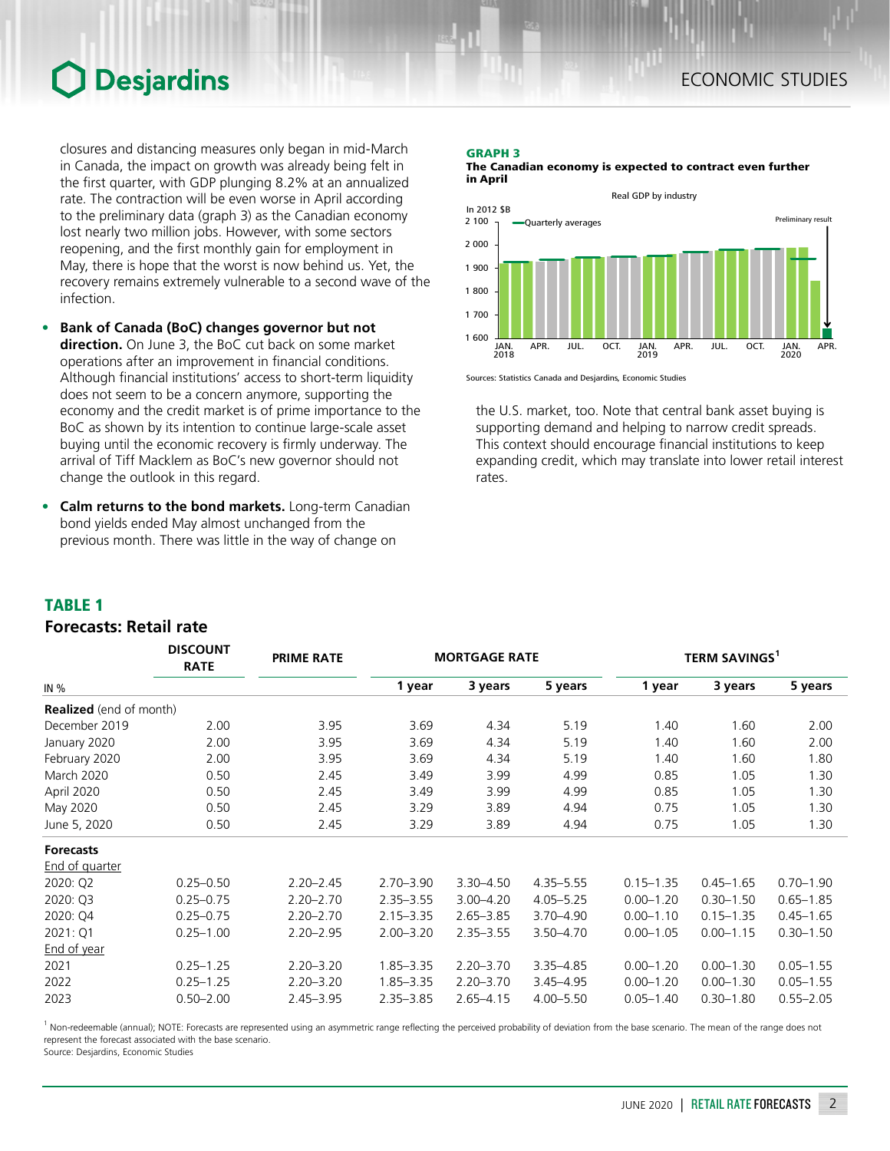# **Desjardins**

closures and distancing measures only began in mid-March in Canada, the impact on growth was already being felt in the first quarter, with GDP plunging 8.2% at an annualized rate. The contraction will be even worse in April according to the preliminary data (graph 3) as the Canadian economy lost nearly two million jobs. However, with some sectors reopening, and the first monthly gain for employment in May, there is hope that the worst is now behind us. Yet, the recovery remains extremely vulnerable to a second wave of the infection.

- **• Bank of Canada (BoC) changes governor but not direction.** On June 3, the BoC cut back on some market operations after an improvement in financial conditions. Although financial institutions' access to short-term liquidity does not seem to be a concern anymore, supporting the economy and the credit market is of prime importance to the BoC as shown by its intention to continue large-scale asset buying until the economic recovery is firmly underway. The arrival of Tiff Macklem as BoC's new governor should not change the outlook in this regard.
- **• Calm returns to the bond markets.** Long-term Canadian bond yields ended May almost unchanged from the previous month. There was little in the way of change on

### GRAPH 3

The Canadian economy is expected to contract even further in April



Sources: Statistics Canada and Desjardins, Economic Studies

the U.S. market, too. Note that central bank asset buying is supporting demand and helping to narrow credit spreads. This context should encourage financial institutions to keep expanding credit, which may translate into lower retail interest rates.

### TABLE 1

### *Forecasts: Retail rate*

|                                | <b>DISCOUNT</b><br><b>RATE</b> | <b>PRIME RATE</b> | <b>MORTGAGE RATE</b> |               |               |               | <b>TERM SAVINGS1</b> |               |  |  |
|--------------------------------|--------------------------------|-------------------|----------------------|---------------|---------------|---------------|----------------------|---------------|--|--|
| IN $%$                         |                                |                   | 1 year               | 3 years       | 5 years       | 1 year        | 3 years              | 5 years       |  |  |
| <b>Realized</b> (end of month) |                                |                   |                      |               |               |               |                      |               |  |  |
| December 2019                  | 2.00                           | 3.95              | 3.69                 | 4.34          | 5.19          | 1.40          | 1.60                 | 2.00          |  |  |
| January 2020                   | 2.00                           | 3.95              | 3.69                 | 4.34          | 5.19          | 1.40          | 1.60                 | 2.00          |  |  |
| February 2020                  | 2.00                           | 3.95              | 3.69                 | 4.34          | 5.19          | 1.40          | 1.60                 | 1.80          |  |  |
| <b>March 2020</b>              | 0.50                           | 2.45              | 3.49                 | 3.99          | 4.99          | 0.85          | 1.05                 | 1.30          |  |  |
| April 2020                     | 0.50                           | 2.45              | 3.49                 | 3.99          | 4.99          | 0.85          | 1.05                 | 1.30          |  |  |
| May 2020                       | 0.50                           | 2.45              | 3.29                 | 3.89          | 4.94          | 0.75          | 1.05                 | 1.30          |  |  |
| June 5, 2020                   | 0.50                           | 2.45              | 3.29                 | 3.89          | 4.94          | 0.75          | 1.05                 | 1.30          |  |  |
| <b>Forecasts</b>               |                                |                   |                      |               |               |               |                      |               |  |  |
| End of quarter                 |                                |                   |                      |               |               |               |                      |               |  |  |
| 2020: Q2                       | $0.25 - 0.50$                  | $2.20 - 2.45$     | $2.70 - 3.90$        | $3.30 - 4.50$ | $4.35 - 5.55$ | $0.15 - 1.35$ | $0.45 - 1.65$        | $0.70 - 1.90$ |  |  |
| 2020: Q3                       | $0.25 - 0.75$                  | $2.20 - 2.70$     | $2.35 - 3.55$        | $3.00 - 4.20$ | $4.05 - 5.25$ | $0.00 - 1.20$ | $0.30 - 1.50$        | $0.65 - 1.85$ |  |  |
| 2020: Q4                       | $0.25 - 0.75$                  | $2.20 - 2.70$     | $2.15 - 3.35$        | $2.65 - 3.85$ | $3.70 - 4.90$ | $0.00 - 1.10$ | $0.15 - 1.35$        | $0.45 - 1.65$ |  |  |
| 2021: Q1                       | $0.25 - 1.00$                  | $2.20 - 2.95$     | $2.00 - 3.20$        | $2.35 - 3.55$ | $3.50 - 4.70$ | $0.00 - 1.05$ | $0.00 - 1.15$        | $0.30 - 1.50$ |  |  |
| End of year                    |                                |                   |                      |               |               |               |                      |               |  |  |
| 2021                           | $0.25 - 1.25$                  | $2.20 - 3.20$     | $1.85 - 3.35$        | $2.20 - 3.70$ | $3.35 - 4.85$ | $0.00 - 1.20$ | $0.00 - 1.30$        | $0.05 - 1.55$ |  |  |
| 2022                           | $0.25 - 1.25$                  | $2.20 - 3.20$     | $1.85 - 3.35$        | $2.20 - 3.70$ | $3.45 - 4.95$ | $0.00 - 1.20$ | $0.00 - 1.30$        | $0.05 - 1.55$ |  |  |
| 2023                           | $0.50 - 2.00$                  | $2.45 - 3.95$     | $2.35 - 3.85$        | $2.65 - 4.15$ | $4.00 - 5.50$ | $0.05 - 1.40$ | $0.30 - 1.80$        | $0.55 - 2.05$ |  |  |

<sup>1</sup> Non-redeemable (annual); NOTE: Forecasts are represented using an asymmetric range reflecting the perceived probability of deviation from the base scenario. The mean of the range does not represent the forecast associated with the base scenario.

Source: Desjardins, Economic Studies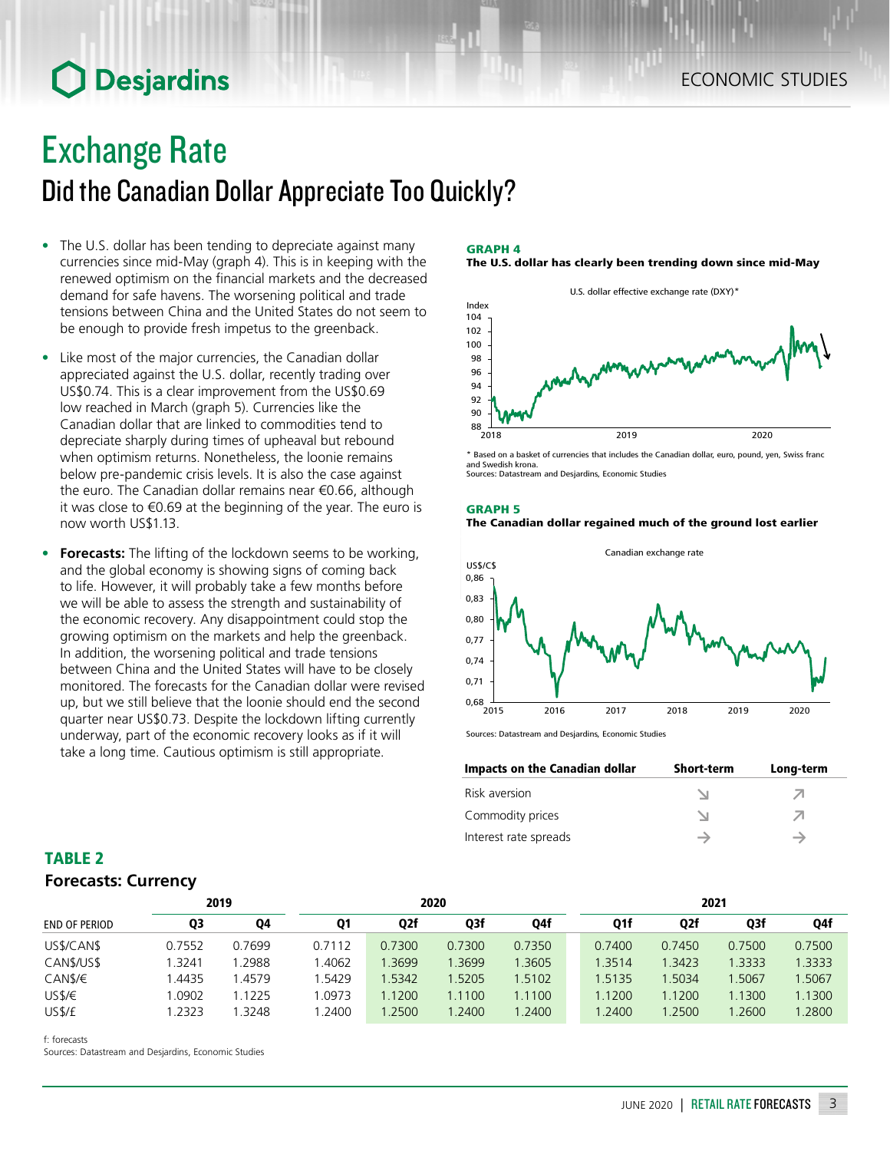# **O** Desjardins

### Exchange Rate

### Did the Canadian Dollar Appreciate Too Quickly?

- The U.S. dollar has been tending to depreciate against many currencies since mid-May (graph 4). This is in keeping with the renewed optimism on the financial markets and the decreased demand for safe havens. The worsening political and trade tensions between China and the United States do not seem to be enough to provide fresh impetus to the greenback.
- Like most of the major currencies, the Canadian dollar appreciated against the U.S. dollar, recently trading over US\$0.74. This is a clear improvement from the US\$0.69 low reached in March (graph 5). Currencies like the Canadian dollar that are linked to commodities tend to depreciate sharply during times of upheaval but rebound when optimism returns. Nonetheless, the loonie remains below pre-pandemic crisis levels. It is also the case against the euro. The Canadian dollar remains near €0.66, although it was close to €0.69 at the beginning of the year. The euro is now worth US\$1.13.
- **• Forecasts:** The lifting of the lockdown seems to be working, and the global economy is showing signs of coming back to life. However, it will probably take a few months before we will be able to assess the strength and sustainability of the economic recovery. Any disappointment could stop the growing optimism on the markets and help the greenback. In addition, the worsening political and trade tensions between China and the United States will have to be closely monitored. The forecasts for the Canadian dollar were revised up, but we still believe that the loonie should end the second quarter near US\$0.73. Despite the lockdown lifting currently underway, part of the economic recovery looks as if it will take a long time. Cautious optimism is still appropriate.

#### GRAPH 4 The U.S. dollar has clearly been trending down since mid-May



\* Based on a basket of currencies that includes the Canadian dollar, euro, pound, yen, Swiss franc and Swedish krona. Sources: Datastream and Desjardins, Economic Studies





Sources: Datastream and Desjardins, Economic Studies

| Impacts on the Canadian dollar | <b>Short-term</b> | Long-term |
|--------------------------------|-------------------|-----------|
| Risk aversion                  |                   |           |
| Commodity prices               |                   |           |
| Interest rate spreads          |                   |           |

### TABLE 2 *Forecasts: Currency*

|                      |        | 2019   | 2020      |        |        |        | 2021   |     |                  |        |        |
|----------------------|--------|--------|-----------|--------|--------|--------|--------|-----|------------------|--------|--------|
| <b>END OF PERIOD</b> | Q3     | 04     | <b>Q1</b> | Q2f    | Q3f    | Q4f    |        | Q1f | Q <sub>2</sub> f | Q3f    | Q4f    |
| US\$/CAN\$           | 0.7552 | 0.7699 | 0.7112    | 0.7300 | 0.7300 | 0.7350 | 0.7400 |     | 0.7450           | 0.7500 | 0.7500 |
| CAN\$/US\$           | .3241  | 1.2988 | .4062     | .3699  | 3699   | 1.3605 | 1.3514 |     | 1.3423           | 1.3333 | 1.3333 |
| CAN\$/€              | .4435  | 1.4579 | .5429     | 1.5342 | 1.5205 | 1.5102 | 1.5135 |     | 1.5034           | 1.5067 | .5067  |
| USS/E                | .0902  | 1.1225 | 1.0973    | .1200  | 1.1100 | 1.1100 | 1.1200 |     | 1.1200           | 1.1300 | 1.1300 |
| US\$/£               | .2323  | .3248  | .2400     | 1.2500 | .2400  | 1.2400 | 1.2400 |     | 1.2500           | 1.2600 | 1.2800 |

f: forecasts

Sources: Datastream and Desjardins, Economic Studies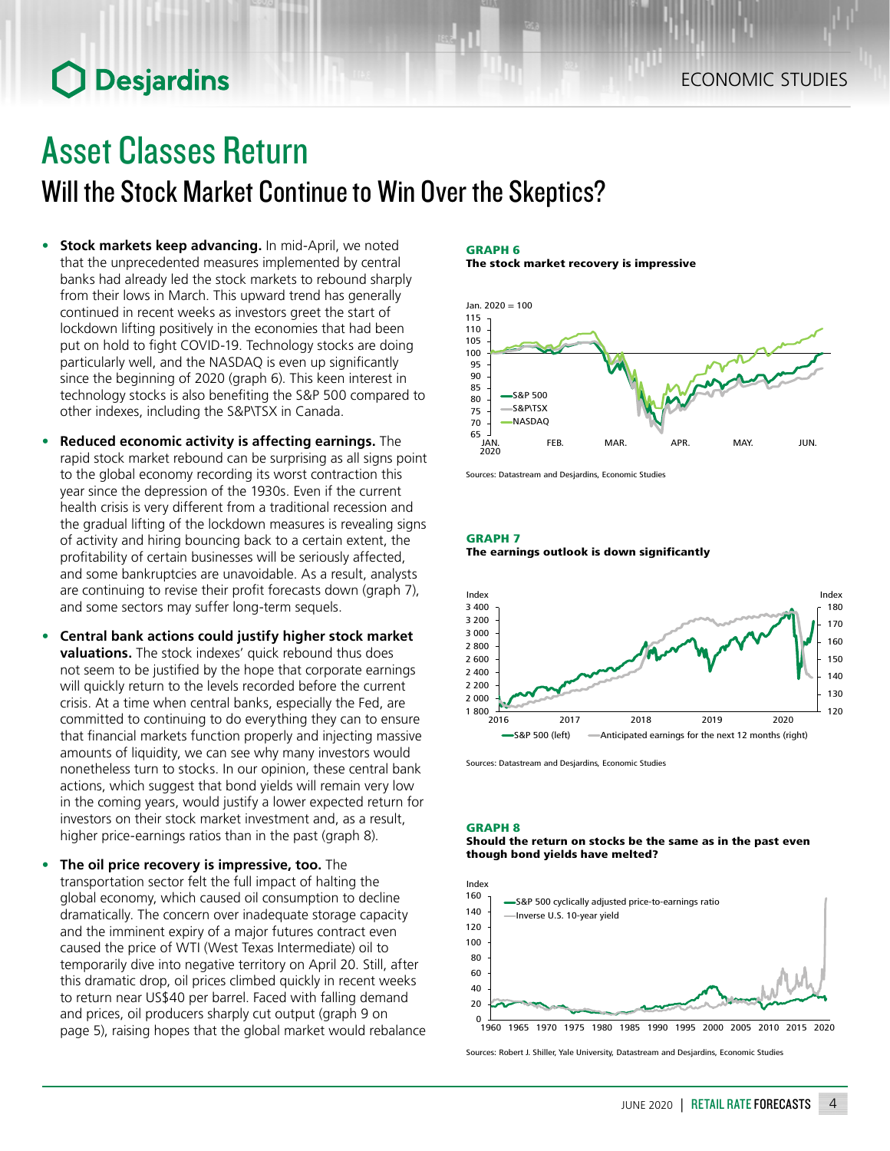# **O** Desjardins

# Asset Classes Return

Will the Stock Market Continue to Win Over the Skeptics?

- **• Stock markets keep advancing.** In mid-April, we noted that the unprecedented measures implemented by central banks had already led the stock markets to rebound sharply from their lows in March. This upward trend has generally continued in recent weeks as investors greet the start of lockdown lifting positively in the economies that had been put on hold to fight COVID-19. Technology stocks are doing particularly well, and the NASDAQ is even up significantly since the beginning of 2020 (graph 6). This keen interest in technology stocks is also benefiting the S&P 500 compared to other indexes, including the S&P\TSX in Canada.
- **• Reduced economic activity is affecting earnings.** The rapid stock market rebound can be surprising as all signs point to the global economy recording its worst contraction this year since the depression of the 1930s. Even if the current health crisis is very different from a traditional recession and the gradual lifting of the lockdown measures is revealing signs of activity and hiring bouncing back to a certain extent, the profitability of certain businesses will be seriously affected, and some bankruptcies are unavoidable. As a result, analysts are continuing to revise their profit forecasts down (graph 7), and some sectors may suffer long-term sequels.
- **• Central bank actions could justify higher stock market valuations.** The stock indexes' quick rebound thus does not seem to be justified by the hope that corporate earnings will quickly return to the levels recorded before the current crisis. At a time when central banks, especially the Fed, are committed to continuing to do everything they can to ensure that financial markets function properly and injecting massive amounts of liquidity, we can see why many investors would nonetheless turn to stocks. In our opinion, these central bank actions, which suggest that bond yields will remain very low in the coming years, would justify a lower expected return for investors on their stock market investment and, as a result, higher price-earnings ratios than in the past (graph 8).
- **• The oil price recovery is impressive, too.** The transportation sector felt the full impact of halting the global economy, which caused oil consumption to decline dramatically. The concern over inadequate storage capacity and the imminent expiry of a major futures contract even caused the price of WTI (West Texas Intermediate) oil to temporarily dive into negative territory on April 20. Still, after this dramatic drop, oil prices climbed quickly in recent weeks to return near US\$40 per barrel. Faced with falling demand and prices, oil producers sharply cut output (graph 9 on page 5), raising hopes that the global market would rebalance

#### GRAPH 6

The stock market recovery is impressive



Sources: Datastream and Desjardins, Economic Studies

#### GRAPH 7 The earnings outlook is down significantly



Sources: Datastream and Desjardins, Economic Studies

#### GRAPH 8

#### Should the return on stocks be the same as in the past even though bond yields have melted?



Sources: Robert J. Shiller, Yale University, Datastream and Desjardins, Economic Studies